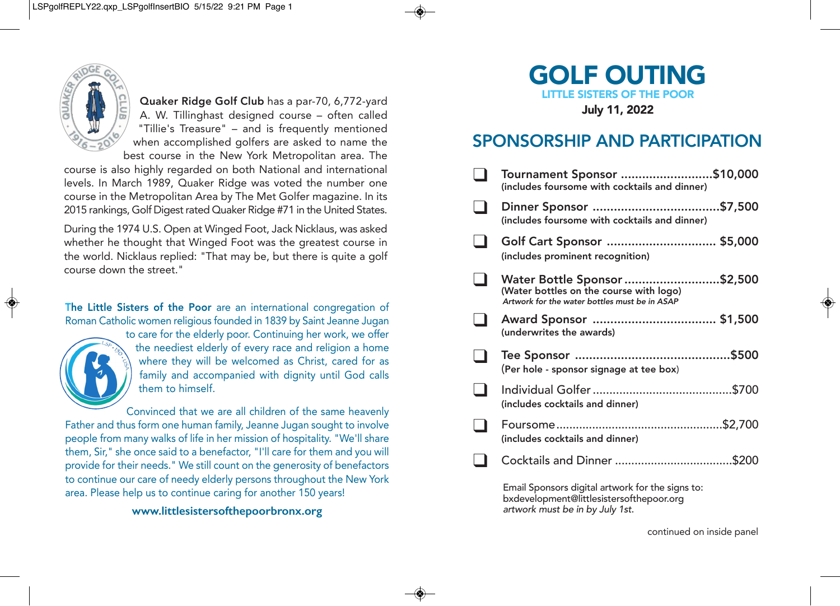

Quaker Ridge Golf Club has a par-70, 6,772-yard A. W. Tillinghast designed course – often called "Tillie's Treasure"– and is frequently mentioned when accomplished golfers are asked to name the best course in the New York Metropolitan area. The

course is also highly regarded on both National and international levels. In March 1989, Quaker Ridge was voted the number one course in the Metropolitan Area by The Met Golfer magazine. In its 2015 rankings, Golf Digest rated Quaker Ridge #71 in the United States.

During the 1974 U.S. Open at Winged Foot, Jack Nicklaus, was asked whether he thought that Winged Foot was the greatest course in the world. Nicklaus replied: "That may be, but there is quite a golf course down the street."

The Little Sisters of the Poor are an international congregation of Roman Catholic women religious founded in 1839 by Saint Jeanne Jugan



to care for the elderly poor. Continuing her work, we offer the neediest elderly of every race and religion a home where they will be welcomed as Christ, cared for as family and accompanied with dignity until God calls them to himself.

Convinced that we are all children of the same heavenly Father and thus form one human family, Jeanne Jugan sought to involve people from many walks of life in her mission of hospitality. "We'll share them, Sir," she once said to a benefactor, "I'll care for them and you will provide for their needs." We still count on the generosity of benefactors to continue our care of needy elderly persons throughout the New York area. Please help us to continue caring for another 150 years!

**www.littlesistersofthepoorbronx.org**



## SPONSORSHIP AND PARTICIPATION

| Tournament Sponsor \$10,000<br>(includes foursome with cocktails and dinner)                                             |  |
|--------------------------------------------------------------------------------------------------------------------------|--|
| (includes foursome with cocktails and dinner)                                                                            |  |
| Golf Cart Sponsor  \$5,000<br>(includes prominent recognition)                                                           |  |
| Water Bottle Sponsor \$2,500<br>(Water bottles on the course with logo)<br>Artwork for the water bottles must be in ASAP |  |
| (underwrites the awards)                                                                                                 |  |
| (Per hole - sponsor signage at tee box)                                                                                  |  |
| (includes cocktails and dinner)                                                                                          |  |
| (includes cocktails and dinner)                                                                                          |  |
|                                                                                                                          |  |
| Email Sponsors digital artwork for the signs to:<br>bxdevelopment@littlesistersofthepoor.org                             |  |

*artwork must be in by July 1st*.

continued on inside panel